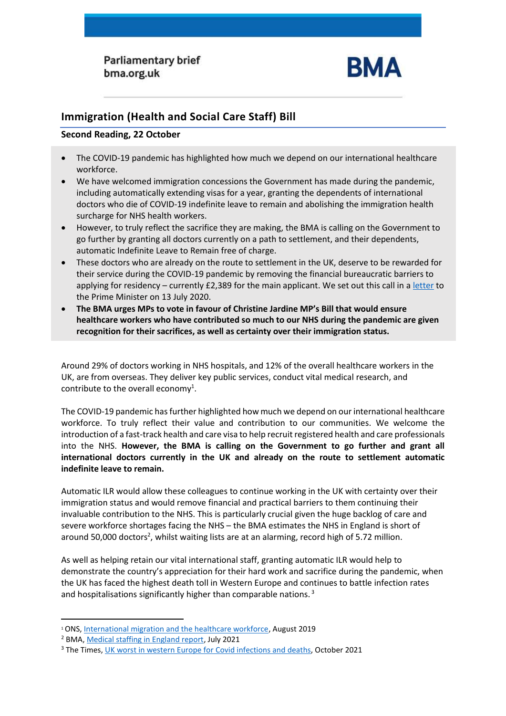**Parliamentary brief** bma.org.uk



## **Immigration (Health and Social Care Staff) Bill**

## **Second Reading, 22 October**

- The COVID-19 pandemic has highlighted how much we depend on our international healthcare workforce.
- We have welcomed immigration concessions the Government has made during the pandemic, including automatically extending visas for a year, granting the dependents of international doctors who die of COVID-19 indefinite leave to remain and abolishing the immigration health surcharge for NHS health workers.
- However, to truly reflect the sacrifice they are making, the BMA is calling on the Government to go further by granting all doctors currently on a path to settlement, and their dependents, automatic Indefinite Leave to Remain free of charge.
- These doctors who are already on the route to settlement in the UK, deserve to be rewarded for their service during the COVID-19 pandemic by removing the financial bureaucratic barriers to applying for residency – currently £2,389 for the main applicant. We set out this call in [a letter](https://www.bma.org.uk/media/2852/bma-letter-to-the-prime-minister-re-ilr-for-international-drs.pdf) to the Prime Minister on 13 July 2020.
- **The BMA urges MPs to vote in favour of Christine Jardine MP's Bill that would ensure healthcare workers who have contributed so much to our NHS during the pandemic are given recognition for their sacrifices, as well as certainty over their immigration status.**

Around 29% of doctors working in NHS hospitals, and 12% of the overall healthcare workers in the UK, are from overseas. They deliver key public services, conduct vital medical research, and contribute to the overall economy<sup>1</sup>.

The COVID-19 pandemic has further highlighted how much we depend on our international healthcare workforce. To truly reflect their value and contribution to our communities. We welcome the introduction of a fast-track health and care visa to help recruit registered health and care professionals into the NHS. **However, the BMA is calling on the Government to go further and grant all international doctors currently in the UK and already on the route to settlement automatic indefinite leave to remain.** 

Automatic ILR would allow these colleagues to continue working in the UK with certainty over their immigration status and would remove financial and practical barriers to them continuing their invaluable contribution to the NHS. This is particularly crucial given the huge backlog of care and severe workforce shortages facing the NHS – the BMA estimates the NHS in England is short of around 50,000 doctors<sup>2</sup>, whilst waiting lists are at an alarming, record high of 5.72 million.

As well as helping retain our vital international staff, granting automatic ILR would help to demonstrate the country's appreciation for their hard work and sacrifice during the pandemic, when the UK has faced the highest death toll in Western Europe and continues to battle infection rates and hospitalisations significantly higher than comparable nations.<sup>3</sup>

<sup>1</sup> ONS, [International migration and the healthcare workforce,](https://www.ons.gov.uk/peoplepopulationandcommunity/populationandmigration/internationalmigration/articles/internationalmigrationandthehealthcareworkforce/2019-08-15) August 2019

<sup>2</sup> BMA, [Medical staffing in England report,](https://www.bma.org.uk/staffing) July 2021

<sup>&</sup>lt;sup>3</sup> The Times[, UK worst in western Europe for Covid infections and deaths,](https://www.thetimes.co.uk/article/uk-worst-in-western-europe-for-covid-infections-and-deaths-fnf8vpgs6) October 2021